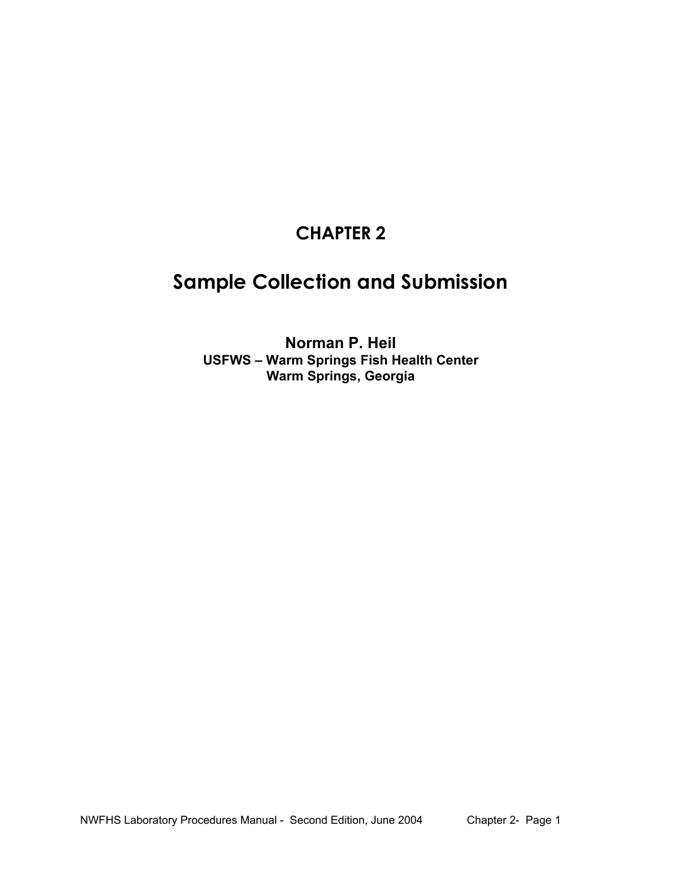## **CHAPTER 2**

# **Sample Collection and Submission**

**Norman P. Heil USFWS – Warm Springs Fish Health Center Warm Springs, Georgia**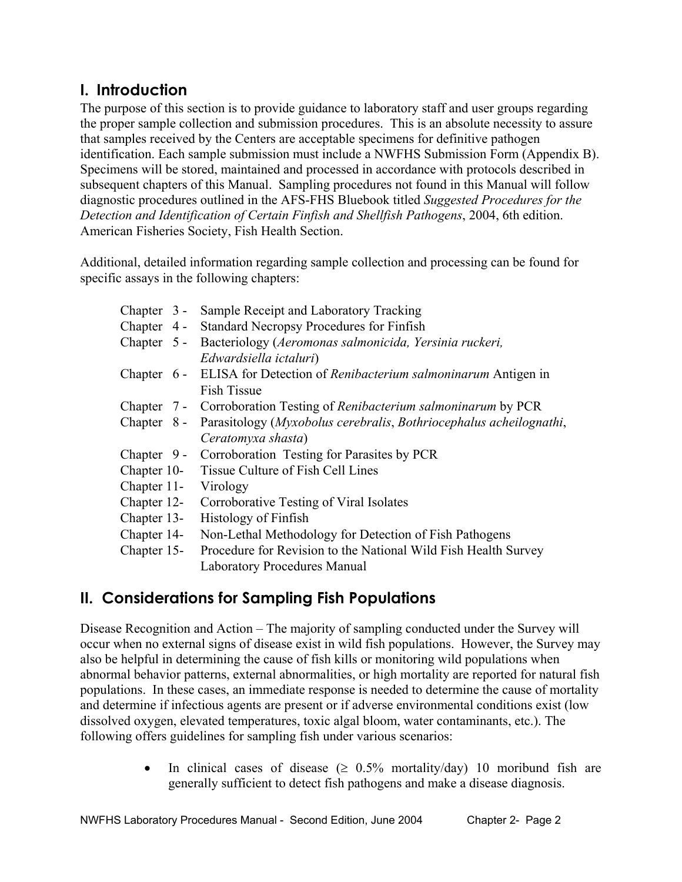## **I. Introduction**

The purpose of this section is to provide guidance to laboratory staff and user groups regarding the proper sample collection and submission procedures. This is an absolute necessity to assure that samples received by the Centers are acceptable specimens for definitive pathogen identification. Each sample submission must include a NWFHS Submission Form (Appendix B). Specimens will be stored, maintained and processed in accordance with protocols described in subsequent chapters of this Manual. Sampling procedures not found in this Manual will follow diagnostic procedures outlined in the AFS-FHS Bluebook titled *Suggested Procedures for the Detection and Identification of Certain Finfish and Shellfish Pathogens*, 2004, 6th edition. American Fisheries Society, Fish Health Section.

Additional, detailed information regarding sample collection and processing can be found for specific assays in the following chapters:

|             | Chapter 3 - Sample Receipt and Laboratory Tracking                                                    |
|-------------|-------------------------------------------------------------------------------------------------------|
|             | Chapter 4 - Standard Necropsy Procedures for Finfish                                                  |
|             | Chapter 5 - Bacteriology (Aeromonas salmonicida, Yersinia ruckeri,<br>Edwardsiella ictaluri)          |
|             | Chapter 6 - ELISA for Detection of <i>Renibacterium salmoninarum</i> Antigen in<br><b>Fish Tissue</b> |
|             | Chapter 7 - Corroboration Testing of Renibacterium salmoninarum by PCR                                |
|             | Chapter 8 - Parasitology (Myxobolus cerebralis, Bothriocephalus acheilognathi,                        |
|             | Ceratomyxa shasta)                                                                                    |
|             | Chapter 9 - Corroboration Testing for Parasites by PCR                                                |
|             | Chapter 10- Tissue Culture of Fish Cell Lines                                                         |
|             | Chapter 11- Virology                                                                                  |
|             | Chapter 12- Corroborative Testing of Viral Isolates                                                   |
| Chapter 13- | Histology of Finfish                                                                                  |
| Chapter 14- | Non-Lethal Methodology for Detection of Fish Pathogens                                                |
| Chapter 15- | Procedure for Revision to the National Wild Fish Health Survey                                        |
|             | <b>Laboratory Procedures Manual</b>                                                                   |

## **II. Considerations for Sampling Fish Populations**

Disease Recognition and Action – The majority of sampling conducted under the Survey will occur when no external signs of disease exist in wild fish populations. However, the Survey may also be helpful in determining the cause of fish kills or monitoring wild populations when abnormal behavior patterns, external abnormalities, or high mortality are reported for natural fish populations. In these cases, an immediate response is needed to determine the cause of mortality and determine if infectious agents are present or if adverse environmental conditions exist (low dissolved oxygen, elevated temperatures, toxic algal bloom, water contaminants, etc.). The following offers guidelines for sampling fish under various scenarios:

> In clinical cases of disease ( $\geq 0.5\%$  mortality/day) 10 moribund fish are generally sufficient to detect fish pathogens and make a disease diagnosis.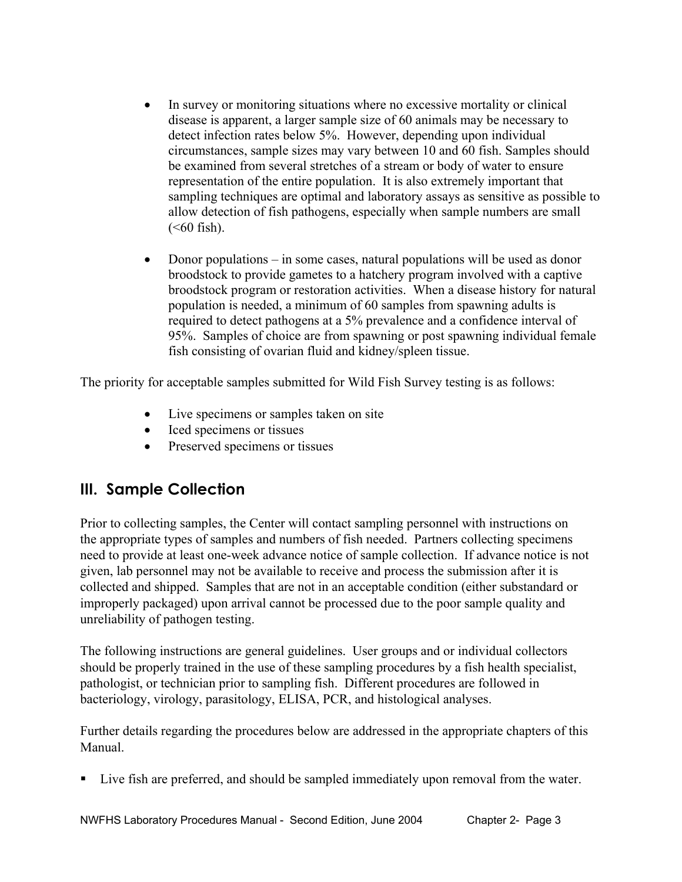- In survey or monitoring situations where no excessive mortality or clinical disease is apparent, a larger sample size of 60 animals may be necessary to detect infection rates below 5%. However, depending upon individual circumstances, sample sizes may vary between 10 and 60 fish. Samples should be examined from several stretches of a stream or body of water to ensure representation of the entire population. It is also extremely important that sampling techniques are optimal and laboratory assays as sensitive as possible to allow detection of fish pathogens, especially when sample numbers are small  $(**60**$  fish).
- Donor populations in some cases, natural populations will be used as donor broodstock to provide gametes to a hatchery program involved with a captive broodstock program or restoration activities. When a disease history for natural population is needed, a minimum of 60 samples from spawning adults is required to detect pathogens at a 5% prevalence and a confidence interval of 95%. Samples of choice are from spawning or post spawning individual female fish consisting of ovarian fluid and kidney/spleen tissue.

The priority for acceptable samples submitted for Wild Fish Survey testing is as follows:

- Live specimens or samples taken on site
- Iced specimens or tissues
- Preserved specimens or tissues

### **III. Sample Collection**

Prior to collecting samples, the Center will contact sampling personnel with instructions on the appropriate types of samples and numbers of fish needed. Partners collecting specimens need to provide at least one-week advance notice of sample collection. If advance notice is not given, lab personnel may not be available to receive and process the submission after it is collected and shipped. Samples that are not in an acceptable condition (either substandard or improperly packaged) upon arrival cannot be processed due to the poor sample quality and unreliability of pathogen testing.

The following instructions are general guidelines. User groups and or individual collectors should be properly trained in the use of these sampling procedures by a fish health specialist, pathologist, or technician prior to sampling fish. Different procedures are followed in bacteriology, virology, parasitology, ELISA, PCR, and histological analyses.

Further details regarding the procedures below are addressed in the appropriate chapters of this Manual.

Live fish are preferred, and should be sampled immediately upon removal from the water.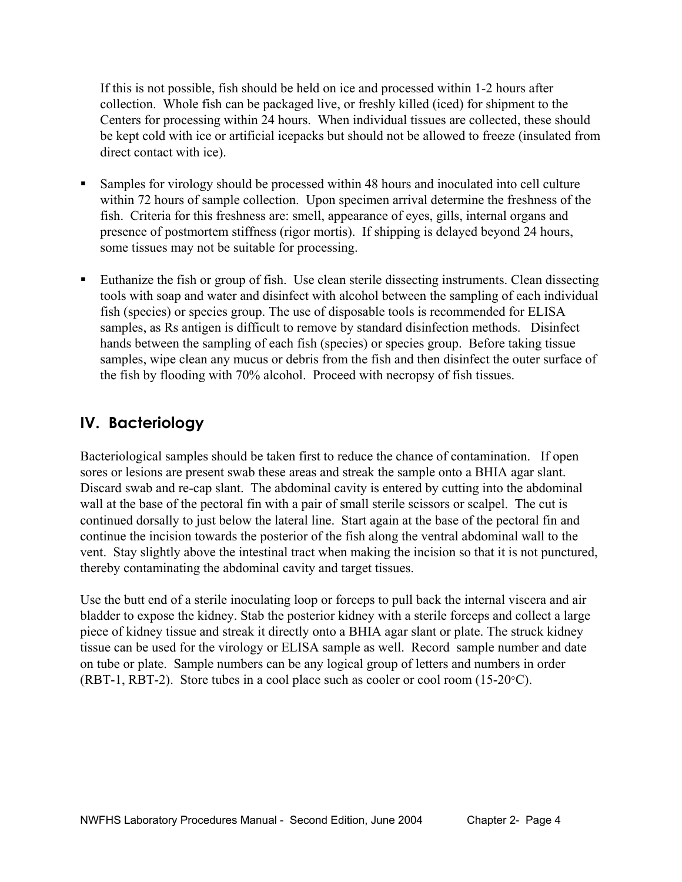If this is not possible, fish should be held on ice and processed within 1-2 hours after collection. Whole fish can be packaged live, or freshly killed (iced) for shipment to the Centers for processing within 24 hours. When individual tissues are collected, these should be kept cold with ice or artificial icepacks but should not be allowed to freeze (insulated from direct contact with ice).

- Samples for virology should be processed within 48 hours and inoculated into cell culture within 72 hours of sample collection. Upon specimen arrival determine the freshness of the fish. Criteria for this freshness are: smell, appearance of eyes, gills, internal organs and presence of postmortem stiffness (rigor mortis). If shipping is delayed beyond 24 hours, some tissues may not be suitable for processing.
- Euthanize the fish or group of fish. Use clean sterile dissecting instruments. Clean dissecting tools with soap and water and disinfect with alcohol between the sampling of each individual fish (species) or species group. The use of disposable tools is recommended for ELISA samples, as Rs antigen is difficult to remove by standard disinfection methods. Disinfect hands between the sampling of each fish (species) or species group. Before taking tissue samples, wipe clean any mucus or debris from the fish and then disinfect the outer surface of the fish by flooding with 70% alcohol. Proceed with necropsy of fish tissues.

## **IV. Bacteriology**

Bacteriological samples should be taken first to reduce the chance of contamination. If open sores or lesions are present swab these areas and streak the sample onto a BHIA agar slant. Discard swab and re-cap slant. The abdominal cavity is entered by cutting into the abdominal wall at the base of the pectoral fin with a pair of small sterile scissors or scalpel. The cut is continued dorsally to just below the lateral line. Start again at the base of the pectoral fin and continue the incision towards the posterior of the fish along the ventral abdominal wall to the vent. Stay slightly above the intestinal tract when making the incision so that it is not punctured, thereby contaminating the abdominal cavity and target tissues.

Use the butt end of a sterile inoculating loop or forceps to pull back the internal viscera and air bladder to expose the kidney. Stab the posterior kidney with a sterile forceps and collect a large piece of kidney tissue and streak it directly onto a BHIA agar slant or plate. The struck kidney tissue can be used for the virology or ELISA sample as well. Record sample number and date on tube or plate. Sample numbers can be any logical group of letters and numbers in order (RBT-1, RBT-2). Store tubes in a cool place such as cooler or cool room (15-20°C).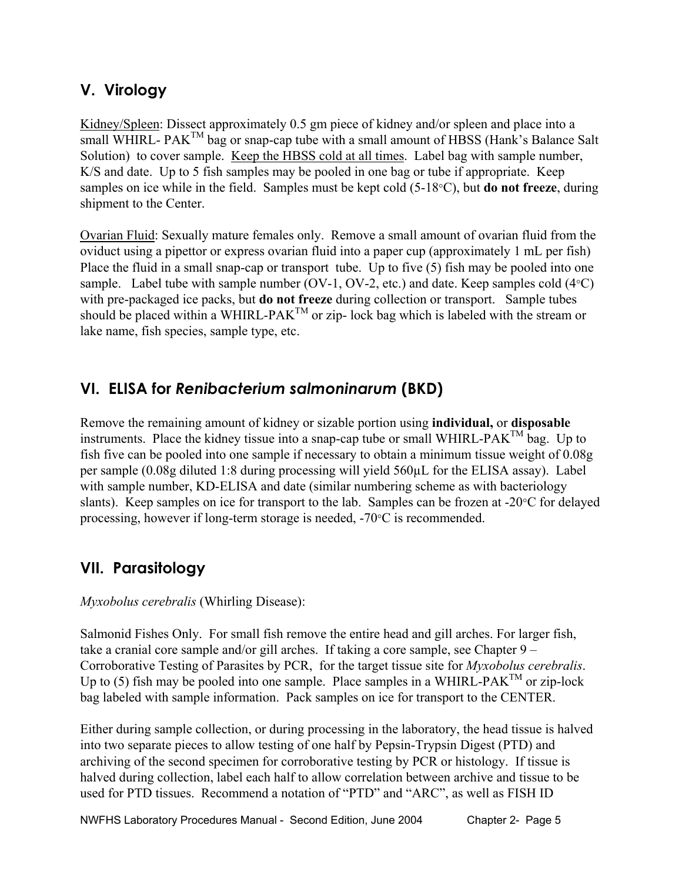## **V. Virology**

Kidney/Spleen: Dissect approximately 0.5 gm piece of kidney and/or spleen and place into a small WHIRL-  $PAK^{TM}$  bag or snap-cap tube with a small amount of HBSS (Hank's Balance Salt Solution) to cover sample. Keep the HBSS cold at all times. Label bag with sample number, K/S and date. Up to 5 fish samples may be pooled in one bag or tube if appropriate. Keep samples on ice while in the field. Samples must be kept cold (5-18°C), but **do not freeze**, during shipment to the Center.

Ovarian Fluid: Sexually mature females only. Remove a small amount of ovarian fluid from the oviduct using a pipettor or express ovarian fluid into a paper cup (approximately 1 mL per fish) Place the fluid in a small snap-cap or transport tube. Up to five (5) fish may be pooled into one sample. Label tube with sample number (OV-1, OV-2, etc.) and date. Keep samples cold  $(4^{\circ}C)$ with pre-packaged ice packs, but **do not freeze** during collection or transport.Sample tubes should be placed within a WHIRL-PAK<sup>TM</sup> or zip- lock bag which is labeled with the stream or lake name, fish species, sample type, etc.

## **VI. ELISA for** *Renibacterium salmoninarum* **(BKD)**

Remove the remaining amount of kidney or sizable portion using **individual,** or **disposable** instruments. Place the kidney tissue into a snap-cap tube or small WHIRL-PAK<sup>TM</sup> bag. Up to fish five can be pooled into one sample if necessary to obtain a minimum tissue weight of 0.08g per sample (0.08g diluted 1:8 during processing will yield 560µL for the ELISA assay). Label with sample number, KD-ELISA and date (similar numbering scheme as with bacteriology slants). Keep samples on ice for transport to the lab. Samples can be frozen at -20°C for delayed processing, however if long-term storage is needed, -70°C is recommended.

## **VII. Parasitology**

*Myxobolus cerebralis* (Whirling Disease):

Salmonid Fishes Only. For small fish remove the entire head and gill arches. For larger fish, take a cranial core sample and/or gill arches. If taking a core sample, see Chapter 9 – Corroborative Testing of Parasites by PCR, for the target tissue site for *Myxobolus cerebralis*. Up to (5) fish may be pooled into one sample. Place samples in a WHIRL-PAK<sup>TM</sup> or zip-lock bag labeled with sample information. Pack samples on ice for transport to the CENTER.

Either during sample collection, or during processing in the laboratory, the head tissue is halved into two separate pieces to allow testing of one half by Pepsin-Trypsin Digest (PTD) and archiving of the second specimen for corroborative testing by PCR or histology. If tissue is halved during collection, label each half to allow correlation between archive and tissue to be used for PTD tissues. Recommend a notation of "PTD" and "ARC", as well as FISH ID

NWFHS Laboratory Procedures Manual - Second Edition, June 2004 Chapter 2- Page 5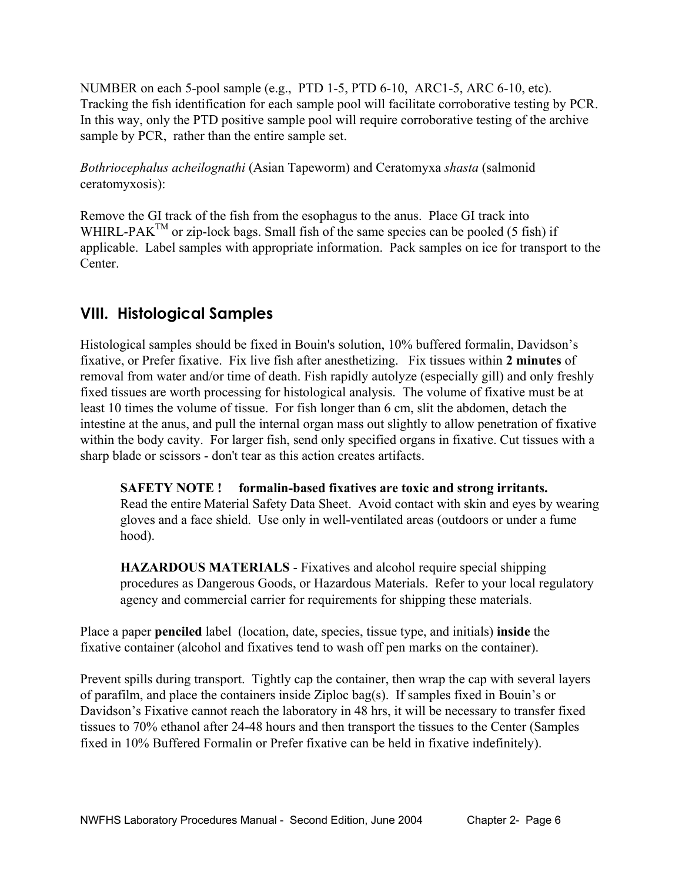NUMBER on each 5-pool sample (e.g., PTD 1-5, PTD 6-10, ARC1-5, ARC 6-10, etc). Tracking the fish identification for each sample pool will facilitate corroborative testing by PCR. In this way, only the PTD positive sample pool will require corroborative testing of the archive sample by PCR, rather than the entire sample set.

*Bothriocephalus acheilognathi* (Asian Tapeworm) and Ceratomyxa *shasta* (salmonid ceratomyxosis):

Remove the GI track of the fish from the esophagus to the anus. Place GI track into WHIRL-PAK<sup>TM</sup> or zip-lock bags. Small fish of the same species can be pooled (5 fish) if applicable. Label samples with appropriate information. Pack samples on ice for transport to the Center.

## **VIII. Histological Samples**

Histological samples should be fixed in Bouin's solution, 10% buffered formalin, Davidson's fixative, or Prefer fixative. Fix live fish after anesthetizing. Fix tissues within **2 minutes** of removal from water and/or time of death. Fish rapidly autolyze (especially gill) and only freshly fixed tissues are worth processing for histological analysis. The volume of fixative must be at least 10 times the volume of tissue. For fish longer than 6 cm, slit the abdomen, detach the intestine at the anus, and pull the internal organ mass out slightly to allow penetration of fixative within the body cavity. For larger fish, send only specified organs in fixative. Cut tissues with a sharp blade or scissors - don't tear as this action creates artifacts.

 **SAFETY NOTE ! formalin-based fixatives are toxic and strong irritants.**  Read the entire Material Safety Data Sheet. Avoid contact with skin and eyes by wearing gloves and a face shield. Use only in well-ventilated areas (outdoors or under a fume hood).

**HAZARDOUS MATERIALS** - Fixatives and alcohol require special shipping procedures as Dangerous Goods, or Hazardous Materials. Refer to your local regulatory agency and commercial carrier for requirements for shipping these materials.

Place a paper **penciled** label (location, date, species, tissue type, and initials) **inside** the fixative container (alcohol and fixatives tend to wash off pen marks on the container).

Prevent spills during transport. Tightly cap the container, then wrap the cap with several layers of parafilm, and place the containers inside Ziploc bag(s). If samples fixed in Bouin's or Davidson's Fixative cannot reach the laboratory in 48 hrs, it will be necessary to transfer fixed tissues to 70% ethanol after 24-48 hours and then transport the tissues to the Center (Samples fixed in 10% Buffered Formalin or Prefer fixative can be held in fixative indefinitely).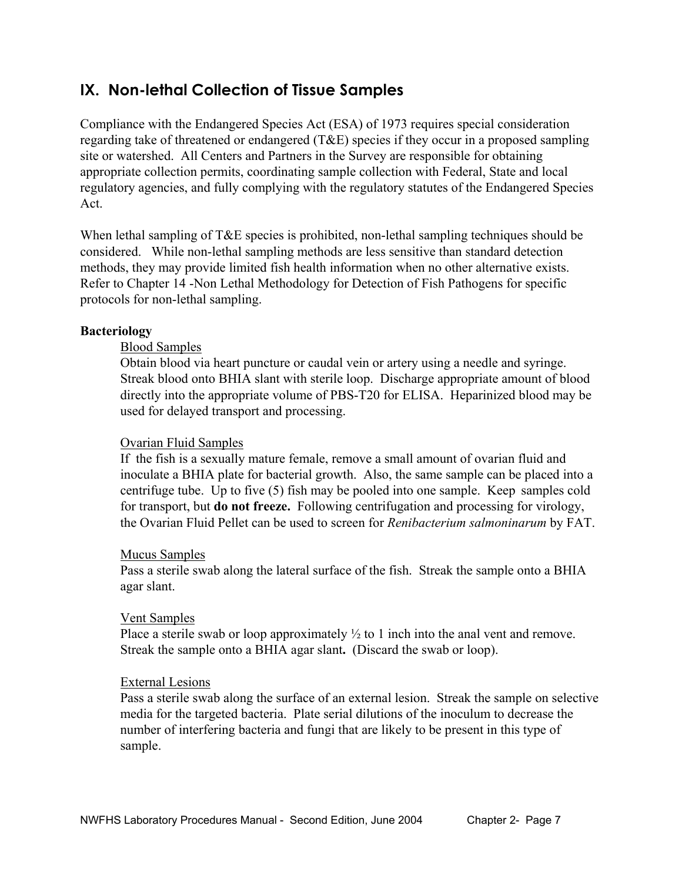## **IX. Non-lethal Collection of Tissue Samples**

Compliance with the Endangered Species Act (ESA) of 1973 requires special consideration regarding take of threatened or endangered (T&E) species if they occur in a proposed sampling site or watershed. All Centers and Partners in the Survey are responsible for obtaining appropriate collection permits, coordinating sample collection with Federal, State and local regulatory agencies, and fully complying with the regulatory statutes of the Endangered Species Act.

When lethal sampling of T&E species is prohibited, non-lethal sampling techniques should be considered. While non-lethal sampling methods are less sensitive than standard detection methods, they may provide limited fish health information when no other alternative exists. Refer to Chapter 14 -Non Lethal Methodology for Detection of Fish Pathogens for specific protocols for non-lethal sampling.

#### **Bacteriology**

#### Blood Samples

 Obtain blood via heart puncture or caudal vein or artery using a needle and syringe. Streak blood onto BHIA slant with sterile loop. Discharge appropriate amount of blood directly into the appropriate volume of PBS-T20 for ELISA. Heparinized blood may be used for delayed transport and processing.

#### Ovarian Fluid Samples

 If the fish is a sexually mature female, remove a small amount of ovarian fluid and inoculate a BHIA plate for bacterial growth. Also, the same sample can be placed into a centrifuge tube. Up to five (5) fish may be pooled into one sample. Keep samples cold for transport, but **do not freeze.** Following centrifugation and processing for virology, the Ovarian Fluid Pellet can be used to screen for *Renibacterium salmoninarum* by FAT.

#### Mucus Samples

 Pass a sterile swab along the lateral surface of the fish. Streak the sample onto a BHIA agar slant.

#### Vent Samples

Place a sterile swab or loop approximately  $\frac{1}{2}$  to 1 inch into the anal vent and remove. Streak the sample onto a BHIA agar slant**.** (Discard the swab or loop).

#### External Lesions

Pass a sterile swab along the surface of an external lesion. Streak the sample on selective media for the targeted bacteria. Plate serial dilutions of the inoculum to decrease the number of interfering bacteria and fungi that are likely to be present in this type of sample.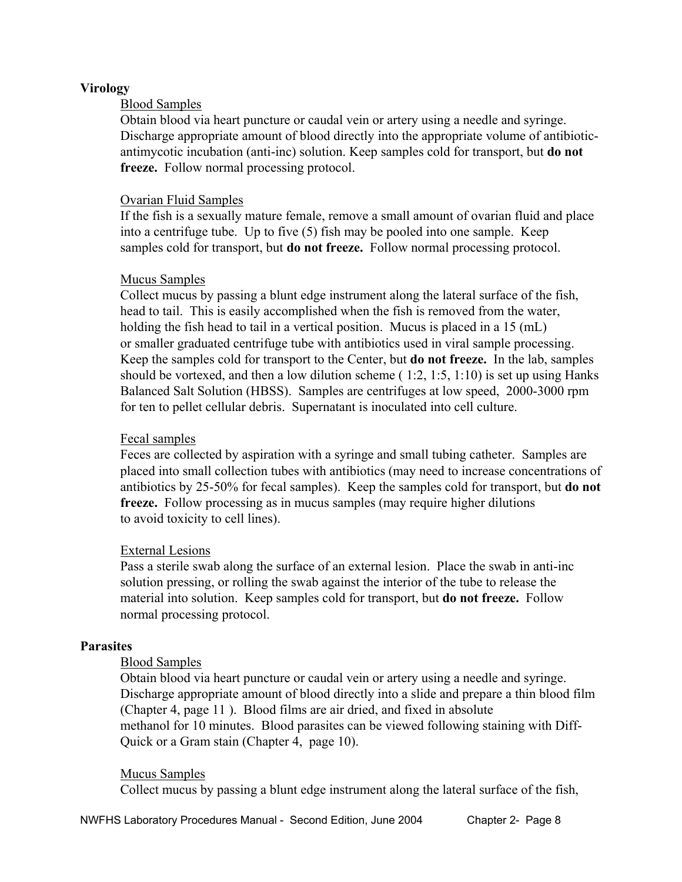#### **Virology**

#### Blood Samples

 Obtain blood via heart puncture or caudal vein or artery using a needle and syringe. Discharge appropriate amount of blood directly into the appropriate volume of antibiotic antimycotic incubation (anti-inc) solution. Keep samples cold for transport, but **do not freeze.** Follow normal processing protocol.

#### Ovarian Fluid Samples

 If the fish is a sexually mature female, remove a small amount of ovarian fluid and place into a centrifuge tube. Up to five (5) fish may be pooled into one sample. Keep samples cold for transport, but **do not freeze.** Follow normal processing protocol.

#### Mucus Samples

 Collect mucus by passing a blunt edge instrument along the lateral surface of the fish, head to tail. This is easily accomplished when the fish is removed from the water, holding the fish head to tail in a vertical position. Mucus is placed in a 15 (mL) or smaller graduated centrifuge tube with antibiotics used in viral sample processing. Keep the samples cold for transport to the Center, but **do not freeze.** In the lab, samples should be vortexed, and then a low dilution scheme  $(1:2, 1:5, 1:10)$  is set up using Hanks Balanced Salt Solution (HBSS). Samples are centrifuges at low speed, 2000-3000 rpm for ten to pellet cellular debris. Supernatant is inoculated into cell culture.

#### Fecal samples

 Feces are collected by aspiration with a syringe and small tubing catheter. Samples are placed into small collection tubes with antibiotics (may need to increase concentrations of antibiotics by 25-50% for fecal samples). Keep the samples cold for transport, but **do not freeze.** Follow processing as in mucus samples (may require higher dilutions to avoid toxicity to cell lines).

#### External Lesions

 Pass a sterile swab along the surface of an external lesion. Place the swab in anti-inc solution pressing, or rolling the swab against the interior of the tube to release the material into solution. Keep samples cold for transport, but **do not freeze.** Follow normal processing protocol.

#### **Parasites**

#### Blood Samples

 Obtain blood via heart puncture or caudal vein or artery using a needle and syringe. Discharge appropriate amount of blood directly into a slide and prepare a thin blood film (Chapter 4, page 11 ). Blood films are air dried, and fixed in absolute methanol for 10 minutes. Blood parasites can be viewed following staining with Diff- Quick or a Gram stain (Chapter 4, page 10).

#### Mucus Samples

Collect mucus by passing a blunt edge instrument along the lateral surface of the fish,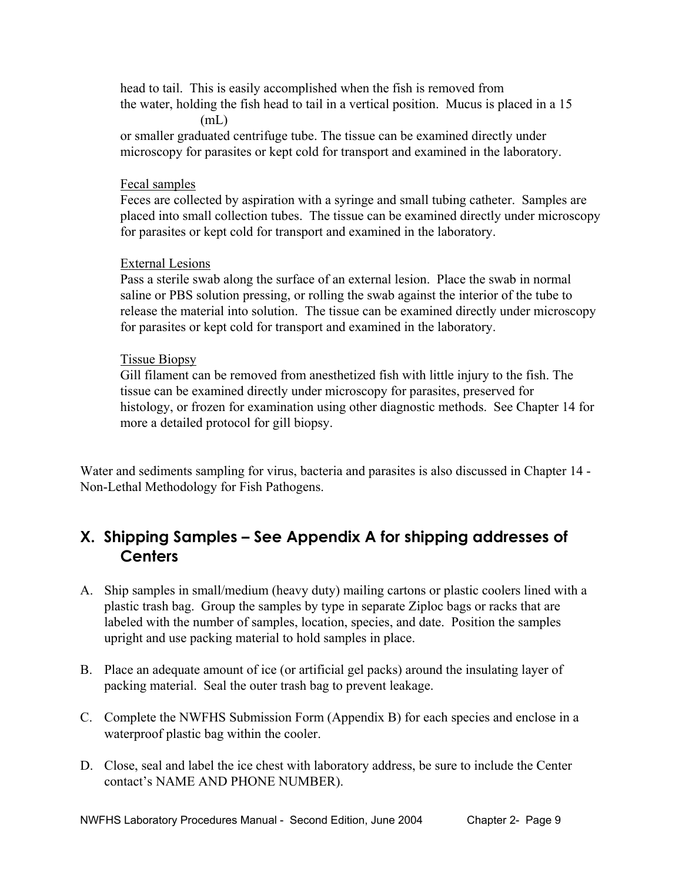head to tail. This is easily accomplished when the fish is removed from the water, holding the fish head to tail in a vertical position. Mucus is placed in a 15  $(mL)$ 

 or smaller graduated centrifuge tube. The tissue can be examined directly under microscopy for parasites or kept cold for transport and examined in the laboratory.

#### Fecal samples

 Feces are collected by aspiration with a syringe and small tubing catheter. Samples are placed into small collection tubes. The tissue can be examined directly under microscopy for parasites or kept cold for transport and examined in the laboratory.

#### External Lesions

 Pass a sterile swab along the surface of an external lesion. Place the swab in normal saline or PBS solution pressing, or rolling the swab against the interior of the tube to release the material into solution. The tissue can be examined directly under microscopy for parasites or kept cold for transport and examined in the laboratory.

#### Tissue Biopsy

 Gill filament can be removed from anesthetized fish with little injury to the fish. The tissue can be examined directly under microscopy for parasites, preserved for histology, or frozen for examination using other diagnostic methods. See Chapter 14 for more a detailed protocol for gill biopsy.

Water and sediments sampling for virus, bacteria and parasites is also discussed in Chapter 14 - Non-Lethal Methodology for Fish Pathogens.

## **X. Shipping Samples – See Appendix A for shipping addresses of Centers**

- A. Ship samples in small/medium (heavy duty) mailing cartons or plastic coolers lined with a plastic trash bag. Group the samples by type in separate Ziploc bags or racks that are labeled with the number of samples, location, species, and date. Position the samples upright and use packing material to hold samples in place.
- B. Place an adequate amount of ice (or artificial gel packs) around the insulating layer of packing material. Seal the outer trash bag to prevent leakage.
- C. Complete the NWFHS Submission Form (Appendix B) for each species and enclose in a waterproof plastic bag within the cooler.
- D. Close, seal and label the ice chest with laboratory address, be sure to include the Center contact's NAME AND PHONE NUMBER).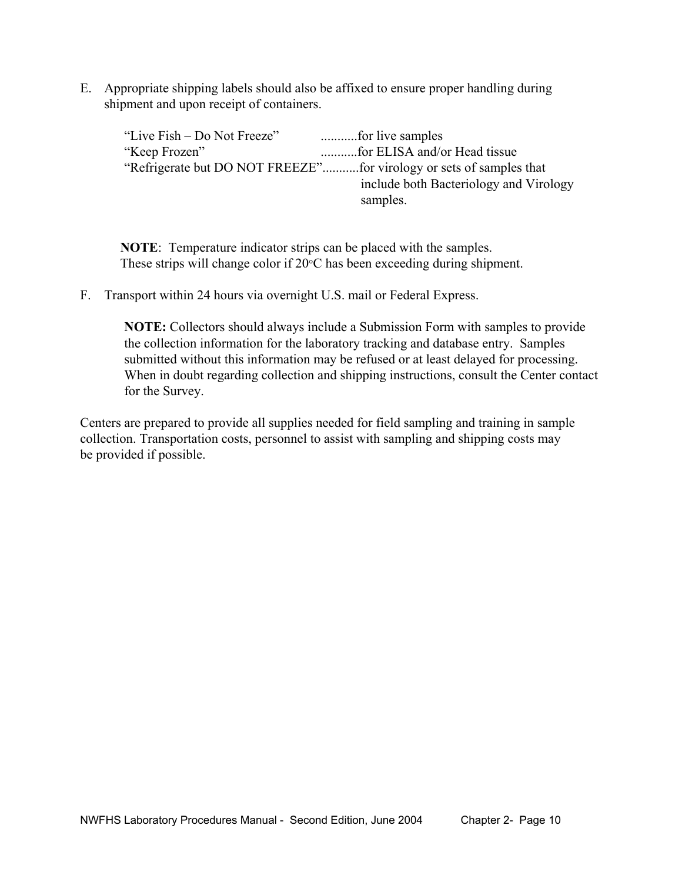E. Appropriate shipping labels should also be affixed to ensure proper handling during shipment and upon receipt of containers.

| "Live Fish – Do Not Freeze" | for live samples                       |
|-----------------------------|----------------------------------------|
| "Keep Frozen"               | for ELISA and/or Head tissue           |
|                             |                                        |
|                             | include both Bacteriology and Virology |
|                             | samples.                               |

 **NOTE**: Temperature indicator strips can be placed with the samples. These strips will change color if 20 $\degree$ C has been exceeding during shipment.

F. Transport within 24 hours via overnight U.S. mail or Federal Express.

 **NOTE:** Collectors should always include a Submission Form with samples to provide the collection information for the laboratory tracking and database entry. Samples submitted without this information may be refused or at least delayed for processing. When in doubt regarding collection and shipping instructions, consult the Center contact for the Survey.

Centers are prepared to provide all supplies needed for field sampling and training in sample collection. Transportation costs, personnel to assist with sampling and shipping costs may be provided if possible.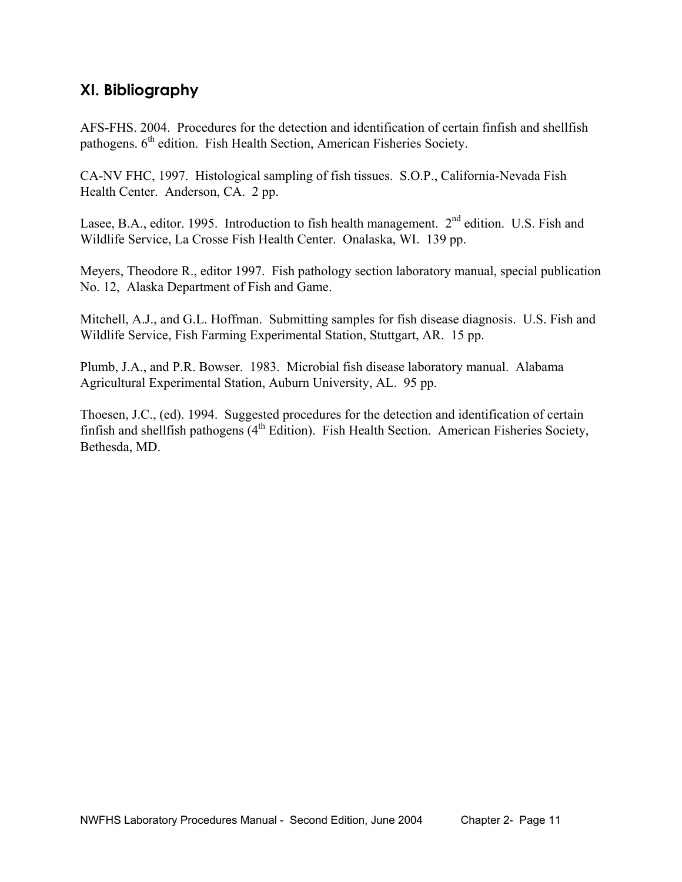## **XI. Bibliography**

AFS-FHS. 2004. Procedures for the detection and identification of certain finfish and shellfish pathogens. 6<sup>th</sup> edition. Fish Health Section, American Fisheries Society.

CA-NV FHC, 1997. Histological sampling of fish tissues. S.O.P., California-Nevada Fish Health Center. Anderson, CA. 2 pp.

Lasee, B.A., editor. 1995. Introduction to fish health management. 2<sup>nd</sup> edition. U.S. Fish and Wildlife Service, La Crosse Fish Health Center. Onalaska, WI. 139 pp.

Meyers, Theodore R., editor 1997. Fish pathology section laboratory manual, special publication No. 12, Alaska Department of Fish and Game.

Mitchell, A.J., and G.L. Hoffman. Submitting samples for fish disease diagnosis. U.S. Fish and Wildlife Service, Fish Farming Experimental Station, Stuttgart, AR. 15 pp.

Plumb, J.A., and P.R. Bowser. 1983. Microbial fish disease laboratory manual. Alabama Agricultural Experimental Station, Auburn University, AL. 95 pp.

Thoesen, J.C., (ed). 1994. Suggested procedures for the detection and identification of certain finfish and shellfish pathogens  $(4<sup>th</sup> Edition)$ . Fish Health Section. American Fisheries Society, Bethesda, MD.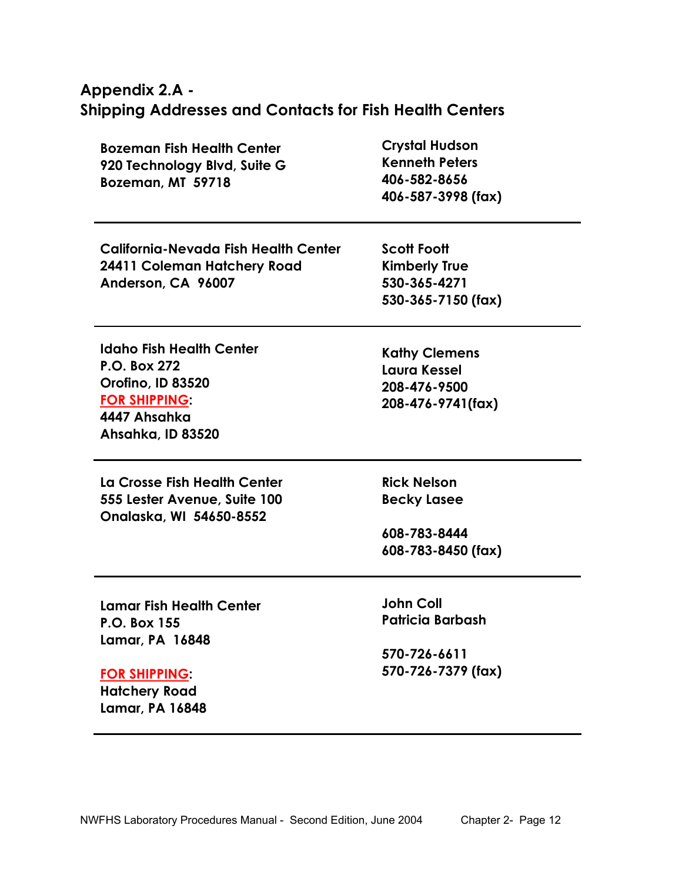## **Appendix 2.A - Shipping Addresses and Contacts for Fish Health Centers**

| <b>Bozeman Fish Health Center</b> | <b>Crystal Hudson</b> |  |  |  |
|-----------------------------------|-----------------------|--|--|--|
| 920 Technology Blvd, Suite G      | <b>Kenneth Peters</b> |  |  |  |
| Bozeman, MT 59718                 | 406-582-8656          |  |  |  |
|                                   | 406-587-3998 (fax)    |  |  |  |

| <b>California-Nevada Fish Health Center</b> | <b>Scott Foott</b>   |  |  |  |
|---------------------------------------------|----------------------|--|--|--|
| 24411 Coleman Hatchery Road                 | <b>Kimberly True</b> |  |  |  |
| Anderson, CA 96007                          | 530-365-4271         |  |  |  |
|                                             | $530.345.7150$ (fav) |  |  |  |

**Idaho Fish Health Center P.O. Box 272 Orofino, ID 83520 FOR SHIPPING: 4447 Ahsahka Ahsahka, ID 83520** 

**La Crosse Fish Health Center 555 Lester Avenue, Suite 100 Onalaska, WI 54650-8552** 

**530-365-7150 (fax)** 

**Kathy Clemens Laura Kessel 208-476-9500 208-476-9741(fax)** 

**Rick Nelson Becky Lasee** 

**608-783-8444 608-783-8450 (fax)** 

**Lamar Fish Health Center P.O. Box 155 Lamar, PA 16848** 

#### **FOR SHIPPING:**

**Hatchery Road Lamar, PA 16848**  **John Coll Patricia Barbash** 

**570-726-6611 570-726-7379 (fax)**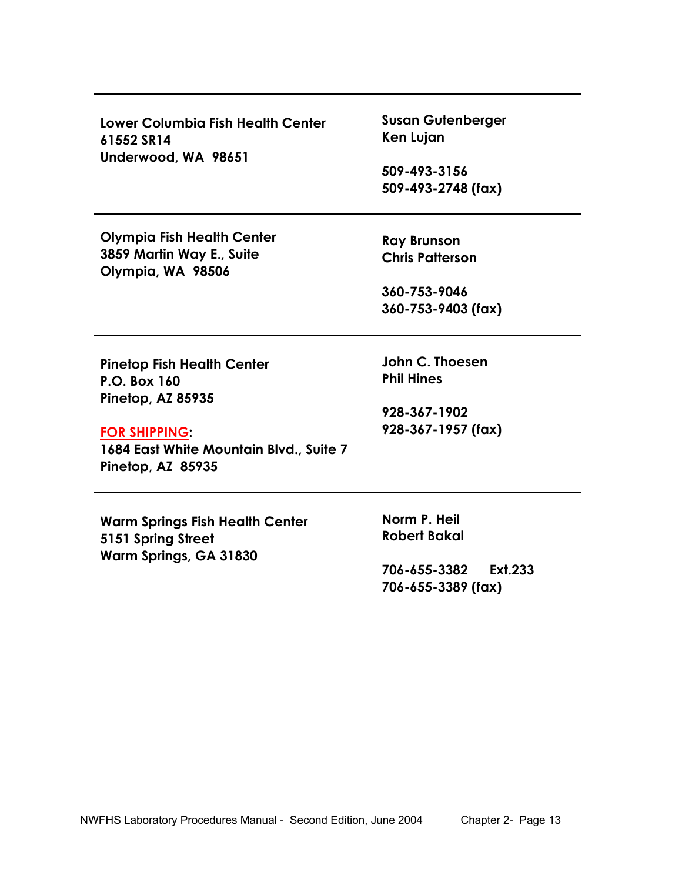| Lower Columbia Fish Health Center<br>61552 SR14<br>Underwood, WA 98651                                                                                                | <b>Susan Gutenberger</b><br>Ken Lujan<br>509-493-3156<br>509-493-2748 (fax) |  |  |  |  |  |
|-----------------------------------------------------------------------------------------------------------------------------------------------------------------------|-----------------------------------------------------------------------------|--|--|--|--|--|
| <b>Olympia Fish Health Center</b><br>3859 Martin Way E., Suite<br>Olympia, WA 98506                                                                                   | <b>Ray Brunson</b><br><b>Chris Patterson</b>                                |  |  |  |  |  |
|                                                                                                                                                                       | 360-753-9046<br>360-753-9403 (fax)                                          |  |  |  |  |  |
| <b>Pinetop Fish Health Center</b><br><b>P.O. Box 160</b><br>Pinetop, AZ 85935<br><b>FOR SHIPPING:</b><br>1684 East White Mountain Blvd., Suite 7<br>Pinetop, AZ 85935 | John C. Thoesen<br><b>Phil Hines</b><br>928-367-1902<br>928-367-1957 (fax)  |  |  |  |  |  |
| <b>Warm Springs Fish Health Center</b><br>5151 Spring Street<br>Warm Springs, GA 31830                                                                                | Norm P. Heil<br><b>Robert Bakal</b><br>706-655-3382<br><b>Ext.233</b>       |  |  |  |  |  |

**706-655-3389 (fax)**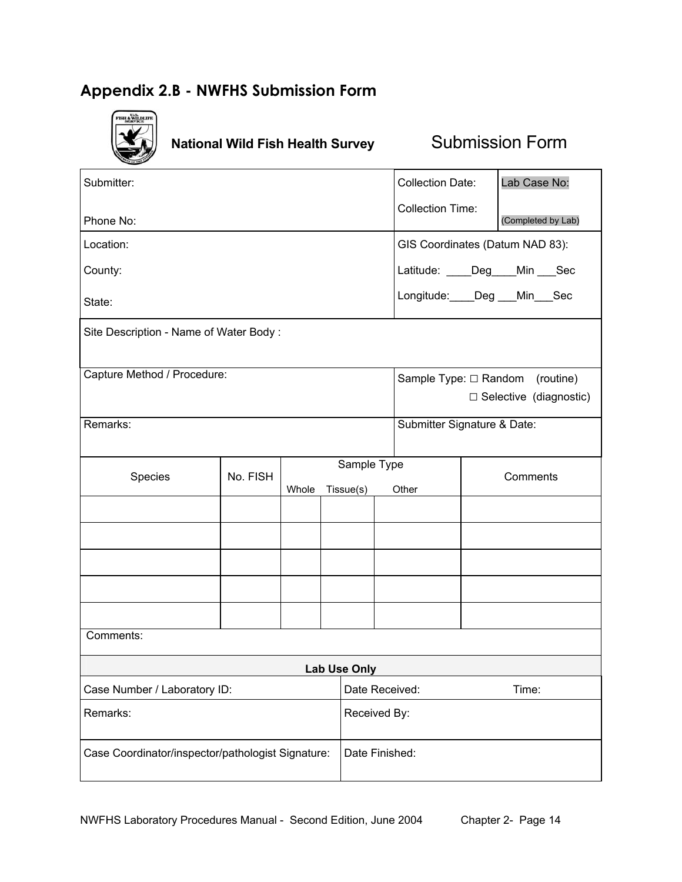## **Appendix 2.B - NWFHS Submission Form**



**National Wild Fish Health Survey Submission Form** 

| Submitter:                                        |                                        |       |  |                                 |                                               | <b>Collection Date:</b>              |                             | Lab Case No:                  |  |
|---------------------------------------------------|----------------------------------------|-------|--|---------------------------------|-----------------------------------------------|--------------------------------------|-----------------------------|-------------------------------|--|
| Phone No:                                         |                                        |       |  |                                 | <b>Collection Time:</b><br>(Completed by Lab) |                                      |                             |                               |  |
| Location:                                         |                                        |       |  | GIS Coordinates (Datum NAD 83): |                                               |                                      |                             |                               |  |
| County:                                           |                                        |       |  |                                 |                                               | Latitude: ____Deg____Min ___Sec      |                             |                               |  |
| State:                                            |                                        |       |  |                                 |                                               | Longitude: Deg Min Sec               |                             |                               |  |
|                                                   | Site Description - Name of Water Body: |       |  |                                 |                                               |                                      |                             |                               |  |
| Capture Method / Procedure:                       |                                        |       |  |                                 |                                               | Sample Type: $\Box$ Random (routine) |                             |                               |  |
|                                                   |                                        |       |  |                                 |                                               |                                      |                             | $\Box$ Selective (diagnostic) |  |
| Remarks:                                          |                                        |       |  |                                 |                                               |                                      | Submitter Signature & Date: |                               |  |
| Species                                           | No. FISH                               |       |  | Sample Type                     |                                               |                                      |                             | Comments                      |  |
|                                                   |                                        | Whole |  | Tissue(s)                       |                                               | Other                                |                             |                               |  |
|                                                   |                                        |       |  |                                 |                                               |                                      |                             |                               |  |
|                                                   |                                        |       |  |                                 |                                               |                                      |                             |                               |  |
|                                                   |                                        |       |  |                                 |                                               |                                      |                             |                               |  |
|                                                   |                                        |       |  |                                 |                                               |                                      |                             |                               |  |
|                                                   |                                        |       |  |                                 |                                               |                                      |                             |                               |  |
| Comments:                                         |                                        |       |  |                                 |                                               |                                      |                             |                               |  |
|                                                   |                                        |       |  | <b>Lab Use Only</b>             |                                               |                                      |                             |                               |  |
| Case Number / Laboratory ID:                      |                                        |       |  |                                 |                                               | Date Received:                       |                             | Time:                         |  |
| Remarks:                                          |                                        |       |  | Received By:                    |                                               |                                      |                             |                               |  |
| Case Coordinator/inspector/pathologist Signature: |                                        |       |  | Date Finished:                  |                                               |                                      |                             |                               |  |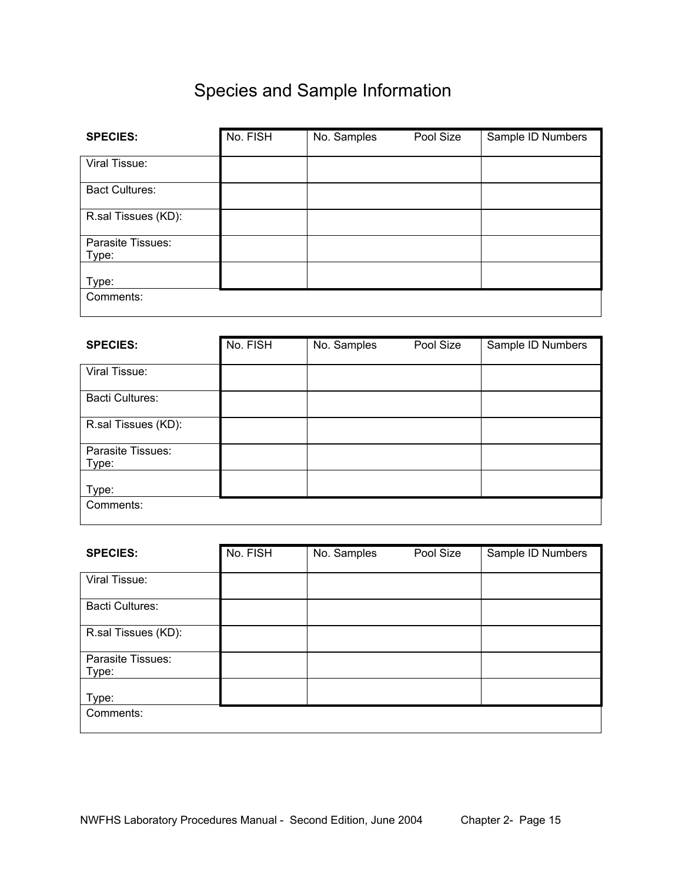# Species and Sample Information

| <b>SPECIES:</b>            | No. FISH | No. Samples | Pool Size | Sample ID Numbers |
|----------------------------|----------|-------------|-----------|-------------------|
| Viral Tissue:              |          |             |           |                   |
| <b>Bact Cultures:</b>      |          |             |           |                   |
| R.sal Tissues (KD):        |          |             |           |                   |
| Parasite Tissues:<br>Type: |          |             |           |                   |
| Type:                      |          |             |           |                   |
| Comments:                  |          |             |           |                   |

| <b>SPECIES:</b>            | No. FISH | No. Samples | Pool Size | Sample ID Numbers |
|----------------------------|----------|-------------|-----------|-------------------|
| Viral Tissue:              |          |             |           |                   |
| <b>Bacti Cultures:</b>     |          |             |           |                   |
| R.sal Tissues (KD):        |          |             |           |                   |
| Parasite Tissues:<br>Type: |          |             |           |                   |
| Type:                      |          |             |           |                   |
| Comments:                  |          |             |           |                   |

| <b>SPECIES:</b>        | No. FISH | No. Samples | Pool Size | Sample ID Numbers |
|------------------------|----------|-------------|-----------|-------------------|
|                        |          |             |           |                   |
| Viral Tissue:          |          |             |           |                   |
| <b>Bacti Cultures:</b> |          |             |           |                   |
| R.sal Tissues (KD):    |          |             |           |                   |
| Parasite Tissues:      |          |             |           |                   |
| Type:                  |          |             |           |                   |
| Type:                  |          |             |           |                   |
| Comments:              |          |             |           |                   |